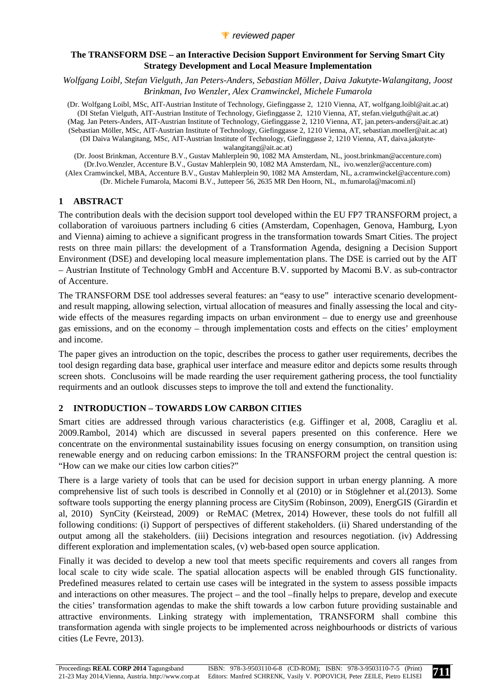*Wolfgang Loibl, Stefan Vielguth, Jan Peters-Anders, Sebastian Möller, Daiva Jakutyte-Walangitang, Joost Brinkman, Ivo Wenzler, Alex Cramwinckel, Michele Fumarola* 

(Dr. Wolfgang Loibl, MSc, AIT-Austrian Institute of Technology, Giefinggasse 2, 1210 Vienna, AT, wolfgang.loibl@ait.ac.at) (DI Stefan Vielguth, AIT-Austrian Institute of Technology, Giefinggasse 2, 1210 Vienna, AT, stefan.vielguth@ait.ac.at) (Mag. Jan Peters-Anders, AIT-Austrian Institute of Technology, Giefinggasse 2, 1210 Vienna, AT, jan.peters-anders@ait.ac.at) (Sebastian Möller, MSc, AIT-Austrian Institute of Technology, Giefinggasse 2, 1210 Vienna, AT, sebastian.moeller@ait.ac.at) (DI Daiva Walangitang, MSc, AIT-Austrian Institute of Technology, Giefinggasse 2, 1210 Vienna, AT, daiva.jakutytewalangitang@ait.ac.at)

(Dr. Joost Brinkman, Accenture B.V., Gustav Mahlerplein 90, 1082 MA Amsterdam, NL, joost.brinkman@accenture.com) (Dr.Ivo.Wenzler, Accenture B.V., Gustav Mahlerplein 90, 1082 MA Amsterdam, NL, ivo.wenzler@accenture.com) (Alex Cramwinckel, MBA, Accenture B.V., Gustav Mahlerplein 90, 1082 MA Amsterdam, NL, a.cramwinckel@accenture.com) (Dr. Michele Fumarola, Macomi B.V., Juttepeer 56, 2635 MR Den Hoorn, NL, m.fumarola@macomi.nl)

## **1 ABSTRACT**

The contribution deals with the decision support tool developed within the EU FP7 TRANSFORM project, a collaboration of varoiuous partners including 6 cities (Amsterdam, Copenhagen, Genova, Hamburg, Lyon and Vienna) aiming to achieve a significant progress in the transformation towards Smart Cities. The project rests on three main pillars: the development of a Transformation Agenda, designing a Decision Support Environment (DSE) and developing local measure implementation plans. The DSE is carried out by the AIT – Austrian Institute of Technology GmbH and Accenture B.V. supported by Macomi B.V. as sub-contractor of Accenture.

The TRANSFORM DSE tool addresses several features: an "easy to use" interactive scenario developmentand result mapping, allowing selection, virtual allocation of measures and finally assessing the local and citywide effects of the measures regarding impacts on urban environment – due to energy use and greenhouse gas emissions, and on the economy – through implementation costs and effects on the cities' employment and income.

The paper gives an introduction on the topic, describes the process to gather user requirements, decribes the tool design regarding data base, graphical user interface and measure editor and depicts some results through screen shots. Conclusoins will be made rearding the user requirement gathering process, the tool functiality requirments and an outlook discusses steps to improve the toll and extend the functionality.

## **2 INTRODUCTION – TOWARDS LOW CARBON CITIES**

Smart cities are addressed through various characteristics (e.g. Giffinger et al, 2008, Caragliu et al. 2009.Rambol, 2014) which are discussed in several papers presented on this conference. Here we concentrate on the environmental sustainability issues focusing on energy consumption, on transition using renewable energy and on reducing carbon emissions: In the TRANSFORM project the central question is: "How can we make our cities low carbon cities?"

There is a large variety of tools that can be used for decision support in urban energy planning. A more comprehensive list of such tools is described in Connolly et al (2010) or in Stöglehner et al.(2013). Some software tools supporting the energy planning process are CitySim (Robinson, 2009), EnergGIS (Girardin et al, 2010) SynCity (Keirstead, 2009) or ReMAC (Metrex, 2014) However, these tools do not fulfill all following conditions: (i) Support of perspectives of different stakeholders. (ii) Shared understanding of the output among all the stakeholders. (iii) Decisions integration and resources negotiation. (iv) Addressing different exploration and implementation scales, (v) web-based open source application.

Finally it was decided to develop a new tool that meets specific requirements and covers all ranges from local scale to city wide scale. The spatial allocation aspects will be enabled through GIS functionality. Predefined measures related to certain use cases will be integrated in the system to assess possible impacts and interactions on other measures. The project – and the tool –finally helps to prepare, develop and execute the cities' transformation agendas to make the shift towards a low carbon future providing sustainable and attractive environments. Linking strategy with implementation, TRANSFORM shall combine this transformation agenda with single projects to be implemented across neighbourhoods or districts of various cities (Le Fevre, 2013).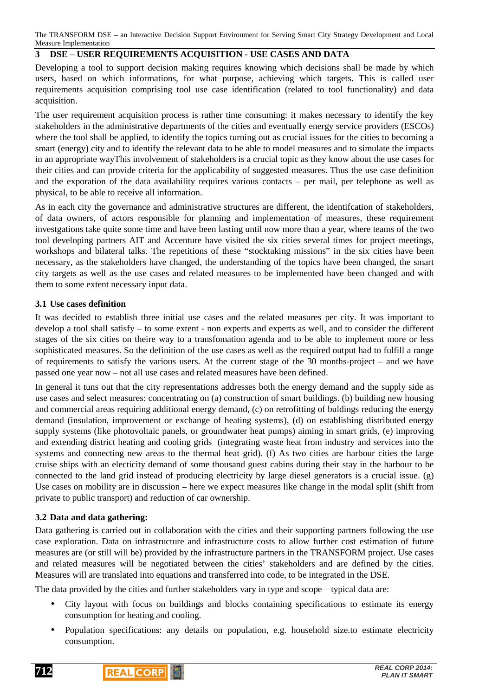## **3 DSE – USER REQUIREMENTS ACQUISITION - USE CASES AND DATA**

Developing a tool to support decision making requires knowing which decisions shall be made by which users, based on which informations, for what purpose, achieving which targets. This is called user requirements acquisition comprising tool use case identification (related to tool functionality) and data acquisition.

The user requirement acquisition process is rather time consuming: it makes necessary to identify the key stakeholders in the administrative departments of the cities and eventually energy service providers (ESCOs) where the tool shall be applied, to identify the topics turning out as crucial issues for the cities to becoming a smart (energy) city and to identify the relevant data to be able to model measures and to simulate the impacts in an appropriate wayThis involvement of stakeholders is a crucial topic as they know about the use cases for their cities and can provide criteria for the applicability of suggested measures. Thus the use case definition and the exporation of the data availability requires various contacts – per mail, per telephone as well as physical, to be able to receive all information.

As in each city the governance and administrative structures are different, the identifcation of stakeholders, of data owners, of actors responsible for planning and implementation of measures, these requirement investgations take quite some time and have been lasting until now more than a year, where teams of the two tool developing partners AIT and Accenture have visited the six cities several times for project meetings, workshops and bilateral talks. The repetitions of these "stocktaking missions" in the six cities have been necessary, as the stakeholders have changed, the understanding of the topics have been changed, the smart city targets as well as the use cases and related measures to be implemented have been changed and with them to some extent necessary input data.

### **3.1 Use cases definition**

It was decided to establish three initial use cases and the related measures per city. It was important to develop a tool shall satisfy – to some extent - non experts and experts as well, and to consider the different stages of the six cities on theire way to a transfomation agenda and to be able to implement more or less sophisticated measures. So the definition of the use cases as well as the required output had to fulfill a range of requirements to satisfy the various users. At the current stage of the  $30$  months-project – and we have passed one year now – not all use cases and related measures have been defined.

In general it tuns out that the city representations addresses both the energy demand and the supply side as use cases and select measures: concentrating on (a) construction of smart buildings. (b) building new housing and commercial areas requiring additional energy demand, (c) on retrofitting of buldings reducing the energy demand (insulation, improvement or exchange of heating systems), (d) on establishing distributed energy supply systems (like photovoltaic panels, or groundwater heat pumps) aiming in smart grids, (e) improving and extending district heating and cooling grids (integrating waste heat from industry and services into the systems and connecting new areas to the thermal heat grid). (f) As two cities are harbour cities the large cruise ships with an electicity demand of some thousand guest cabins during their stay in the harbour to be connected to the land grid instead of producing electricity by large diesel generators is a crucial issue. (g) Use cases on mobility are in discussion – here we expect measures like change in the modal split (shift from private to public transport) and reduction of car ownership.

#### **3.2 Data and data gathering:**

Data gathering is carried out in collaboration with the cities and their supporting partners following the use case exploration. Data on infrastructure and infrastructure costs to allow further cost estimation of future measures are (or still will be) provided by the infrastructure partners in the TRANSFORM project. Use cases and related measures will be negotiated between the cities' stakeholders and are defined by the cities. Measures will are translated into equations and transferred into code, to be integrated in the DSE.

The data provided by the cities and further stakeholders vary in type and scope – typical data are:

- City layout with focus on buildings and blocks containing specifications to estimate its energy consumption for heating and cooling.
- Population specifications: any details on population, e.g. household size.to estimate electricity consumption.

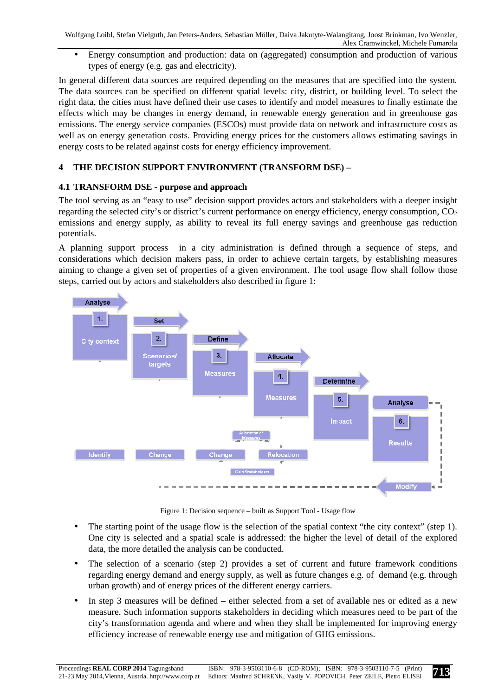• Energy consumption and production: data on (aggregated) consumption and production of various types of energy (e.g. gas and electricity).

In general different data sources are required depending on the measures that are specified into the system. The data sources can be specified on different spatial levels: city, district, or building level. To select the right data, the cities must have defined their use cases to identify and model measures to finally estimate the effects which may be changes in energy demand, in renewable energy generation and in greenhouse gas emissions. The energy service companies (ESCOs) must provide data on network and infrastructure costs as well as on energy generation costs. Providing energy prices for the customers allows estimating savings in energy costs to be related against costs for energy efficiency improvement.

# **4 THE DECISION SUPPORT ENVIRONMENT (TRANSFORM DSE) –**

## **4.1 TRANSFORM DSE - purpose and approach**

The tool serving as an "easy to use" decision support provides actors and stakeholders with a deeper insight regarding the selected city's or district's current performance on energy efficiency, energy consumption,  $CO<sub>2</sub>$ emissions and energy supply, as ability to reveal its full energy savings and greenhouse gas reduction potentials.

A planning support process in a city administration is defined through a sequence of steps, and considerations which decision makers pass, in order to achieve certain targets, by establishing measures aiming to change a given set of properties of a given environment. The tool usage flow shall follow those steps, carried out by actors and stakeholders also described in figure 1:



Figure 1: Decision sequence – built as Support Tool - Usage flow

- The starting point of the usage flow is the selection of the spatial context "the city context" (step 1). One city is selected and a spatial scale is addressed: the higher the level of detail of the explored data, the more detailed the analysis can be conducted.
- The selection of a scenario (step 2) provides a set of current and future framework conditions regarding energy demand and energy supply, as well as future changes e.g. of demand (e.g. through urban growth) and of energy prices of the different energy carriers.
- In step 3 measures will be defined either selected from a set of available nes or edited as a new measure. Such information supports stakeholders in deciding which measures need to be part of the city's transformation agenda and where and when they shall be implemented for improving energy efficiency increase of renewable energy use and mitigation of GHG emissions.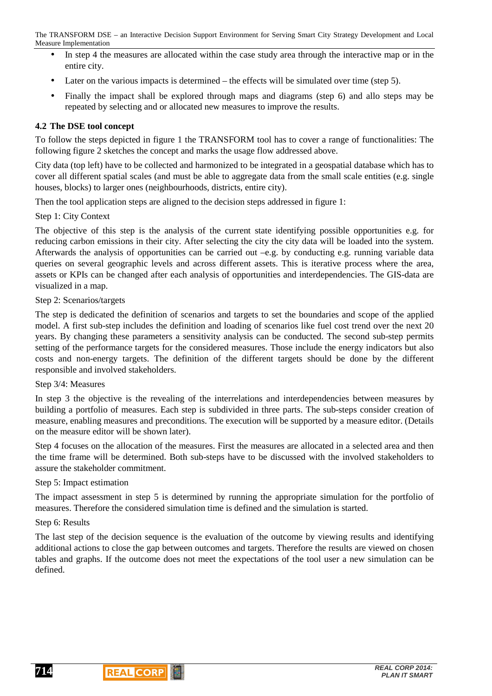- In step 4 the measures are allocated within the case study area through the interactive map or in the entire city.
- Later on the various impacts is determined the effects will be simulated over time (step 5).
- Finally the impact shall be explored through maps and diagrams (step 6) and allo steps may be repeated by selecting and or allocated new measures to improve the results.

### **4.2 The DSE tool concept**

To follow the steps depicted in figure 1 the TRANSFORM tool has to cover a range of functionalities: The following figure 2 sketches the concept and marks the usage flow addressed above.

City data (top left) have to be collected and harmonized to be integrated in a geospatial database which has to cover all different spatial scales (and must be able to aggregate data from the small scale entities (e.g. single houses, blocks) to larger ones (neighbourhoods, districts, entire city).

Then the tool application steps are aligned to the decision steps addressed in figure 1:

#### Step 1: City Context

The objective of this step is the analysis of the current state identifying possible opportunities e.g. for reducing carbon emissions in their city. After selecting the city the city data will be loaded into the system. Afterwards the analysis of opportunities can be carried out –e.g. by conducting e.g. running variable data queries on several geographic levels and across different assets. This is iterative process where the area, assets or KPIs can be changed after each analysis of opportunities and interdependencies. The GIS-data are visualized in a map.

#### Step 2: Scenarios/targets

The step is dedicated the definition of scenarios and targets to set the boundaries and scope of the applied model. A first sub-step includes the definition and loading of scenarios like fuel cost trend over the next 20 years. By changing these parameters a sensitivity analysis can be conducted. The second sub-step permits setting of the performance targets for the considered measures. Those include the energy indicators but also costs and non-energy targets. The definition of the different targets should be done by the different responsible and involved stakeholders.

#### Step 3/4: Measures

In step 3 the objective is the revealing of the interrelations and interdependencies between measures by building a portfolio of measures. Each step is subdivided in three parts. The sub-steps consider creation of measure, enabling measures and preconditions. The execution will be supported by a measure editor. (Details on the measure editor will be shown later).

Step 4 focuses on the allocation of the measures. First the measures are allocated in a selected area and then the time frame will be determined. Both sub-steps have to be discussed with the involved stakeholders to assure the stakeholder commitment.

#### Step 5: Impact estimation

The impact assessment in step 5 is determined by running the appropriate simulation for the portfolio of measures. Therefore the considered simulation time is defined and the simulation is started.

### Step 6: Results

The last step of the decision sequence is the evaluation of the outcome by viewing results and identifying additional actions to close the gap between outcomes and targets. Therefore the results are viewed on chosen tables and graphs. If the outcome does not meet the expectations of the tool user a new simulation can be defined.

**714**

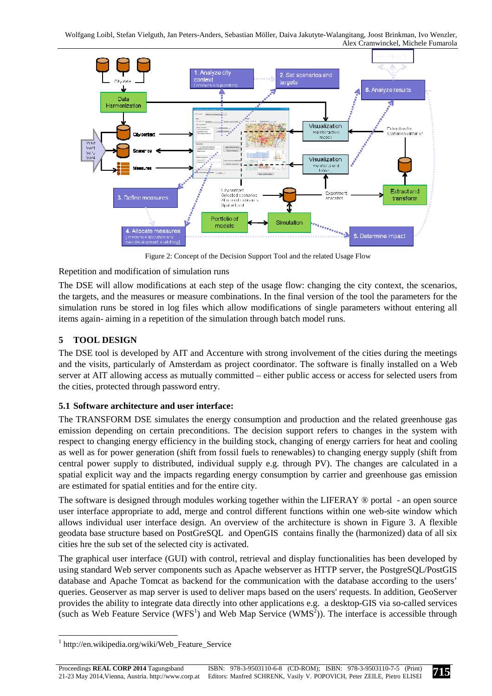

Figure 2: Concept of the Decision Support Tool and the related Usage Flow

Repetition and modification of simulation runs

The DSE will allow modifications at each step of the usage flow: changing the city context, the scenarios, the targets, and the measures or measure combinations. In the final version of the tool the parameters for the simulation runs be stored in log files which allow modifications of single parameters without entering all items again- aiming in a repetition of the simulation through batch model runs.

## **5 TOOL DESIGN**

The DSE tool is developed by AIT and Accenture with strong involvement of the cities during the meetings and the visits, particularly of Amsterdam as project coordinator. The software is finally installed on a Web server at AIT allowing access as mutually committed – either public access or access for selected users from the cities, protected through password entry.

## **5.1 Software architecture and user interface:**

The TRANSFORM DSE simulates the energy consumption and production and the related greenhouse gas emission depending on certain preconditions. The decision support refers to changes in the system with respect to changing energy efficiency in the building stock, changing of energy carriers for heat and cooling as well as for power generation (shift from fossil fuels to renewables) to changing energy supply (shift from central power supply to distributed, individual supply e.g. through PV). The changes are calculated in a spatial explicit way and the impacts regarding energy consumption by carrier and greenhouse gas emission are estimated for spatial entities and for the entire city.

The software is designed through modules working together within the LIFERAY ® portal - an open source user interface appropriate to add, merge and control different functions within one web-site window which allows individual user interface design. An overview of the architecture is shown in Figure 3. A flexible geodata base structure based on PostGreSQL and OpenGIS contains finally the (harmonized) data of all six cities hre the sub set of the selected city is activated.

The graphical user interface (GUI) with control, retrieval and display functionalities has been developed by using standard Web server components such as Apache webserver as HTTP server, the PostgreSQL/PostGIS database and Apache Tomcat as backend for the communication with the database according to the users' queries. Geoserver as map server is used to deliver maps based on the users' requests. In addition, GeoServer provides the ability to integrate data directly into other applications e.g. a desktop-GIS via so-called services (such as Web Feature Service (WFS<sup>1</sup>) and Web Map Service (WMS<sup>2</sup>)). The interface is accessible through

 $\overline{a}$ 

<sup>1</sup> http://en.wikipedia.org/wiki/Web\_Feature\_Service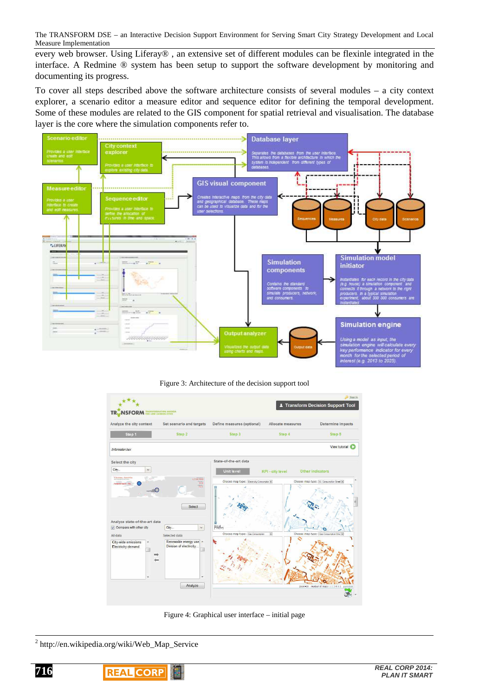every web browser. Using Liferay® , an extensive set of different modules can be flexinle integrated in the interface. A Redmine ® system has been setup to support the software development by monitoring and documenting its progress.

To cover all steps described above the software architecture consists of several modules – a city context explorer, a scenario editor a measure editor and sequence editor for defining the temporal development. Some of these modules are related to the GIS component for spatial retrieval and visualisation. The database layer is the core where the simulation components refer to.



Figure 3: Architecture of the decision support tool



Figure 4: Graphical user interface – initial page

<sup>&</sup>lt;sup>2</sup> http://en.wikipedia.org/wiki/Web\_Map\_Service



 $\overline{a}$ 

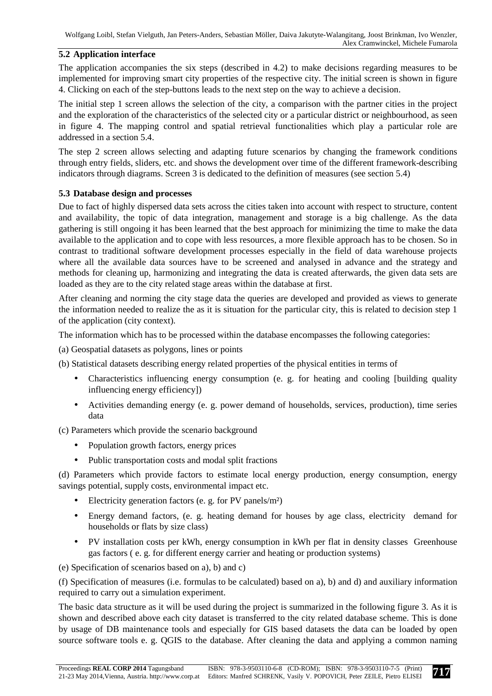## **5.2 Application interface**

The application accompanies the six steps (described in 4.2) to make decisions regarding measures to be implemented for improving smart city properties of the respective city. The initial screen is shown in figure 4. Clicking on each of the step-buttons leads to the next step on the way to achieve a decision.

The initial step 1 screen allows the selection of the city, a comparison with the partner cities in the project and the exploration of the characteristics of the selected city or a particular district or neighbourhood, as seen in figure 4. The mapping control and spatial retrieval functionalities which play a particular role are addressed in a section 5.4.

The step 2 screen allows selecting and adapting future scenarios by changing the framework conditions through entry fields, sliders, etc. and shows the development over time of the different framework-describing indicators through diagrams. Screen 3 is dedicated to the definition of measures (see section 5.4)

## **5.3 Database design and processes**

Due to fact of highly dispersed data sets across the cities taken into account with respect to structure, content and availability, the topic of data integration, management and storage is a big challenge. As the data gathering is still ongoing it has been learned that the best approach for minimizing the time to make the data available to the application and to cope with less resources, a more flexible approach has to be chosen. So in contrast to traditional software development processes especially in the field of data warehouse projects where all the available data sources have to be screened and analysed in advance and the strategy and methods for cleaning up, harmonizing and integrating the data is created afterwards, the given data sets are loaded as they are to the city related stage areas within the database at first.

After cleaning and norming the city stage data the queries are developed and provided as views to generate the information needed to realize the as it is situation for the particular city, this is related to decision step 1 of the application (city context).

The information which has to be processed within the database encompasses the following categories:

(a) Geospatial datasets as polygons, lines or points

(b) Statistical datasets describing energy related properties of the physical entities in terms of

- Characteristics influencing energy consumption (e. g. for heating and cooling [building quality influencing energy efficiency])
- Activities demanding energy (e. g. power demand of households, services, production), time series data

(c) Parameters which provide the scenario background

- Population growth factors, energy prices
- Public transportation costs and modal split fractions

(d) Parameters which provide factors to estimate local energy production, energy consumption, energy savings potential, supply costs, environmental impact etc.

- Electricity generation factors (e. g. for PV panels/m²)
- Energy demand factors, (e. g. heating demand for houses by age class, electricity demand for households or flats by size class)
- PV installation costs per kWh, energy consumption in kWh per flat in density classes Greenhouse gas factors ( e. g. for different energy carrier and heating or production systems)

(e) Specification of scenarios based on a), b) and c)

(f) Specification of measures (i.e. formulas to be calculated) based on a), b) and d) and auxiliary information required to carry out a simulation experiment.

The basic data structure as it will be used during the project is summarized in the following figure 3. As it is shown and described above each city dataset is transferred to the city related database scheme. This is done by usage of DB maintenance tools and especially for GIS based datasets the data can be loaded by open source software tools e. g. QGIS to the database. After cleaning the data and applying a common naming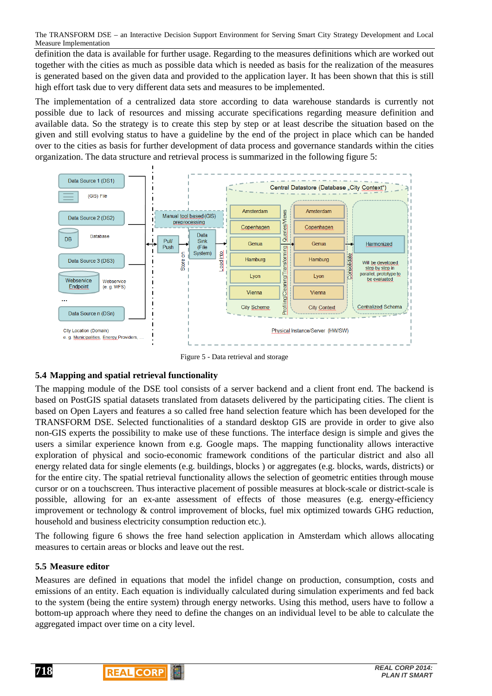definition the data is available for further usage. Regarding to the measures definitions which are worked out together with the cities as much as possible data which is needed as basis for the realization of the measures is generated based on the given data and provided to the application layer. It has been shown that this is still high effort task due to very different data sets and measures to be implemented.

The implementation of a centralized data store according to data warehouse standards is currently not possible due to lack of resources and missing accurate specifications regarding measure definition and available data. So the strategy is to create this step by step or at least describe the situation based on the given and still evolving status to have a guideline by the end of the project in place which can be handed over to the cities as basis for further development of data process and governance standards within the cities organization. The data structure and retrieval process is summarized in the following figure 5:



Figure 5 - Data retrieval and storage

## **5.4 Mapping and spatial retrieval functionality**

The mapping module of the DSE tool consists of a server backend and a client front end. The backend is based on PostGIS spatial datasets translated from datasets delivered by the participating cities. The client is based on Open Layers and features a so called free hand selection feature which has been developed for the TRANSFORM DSE. Selected functionalities of a standard desktop GIS are provide in order to give also non-GIS experts the possibility to make use of these functions. The interface design is simple and gives the users a similar experience known from e.g. Google maps. The mapping functionality allows interactive exploration of physical and socio-economic framework conditions of the particular district and also all energy related data for single elements (e.g. buildings, blocks ) or aggregates (e.g. blocks, wards, districts) or for the entire city. The spatial retrieval functionality allows the selection of geometric entities through mouse cursor or on a touchscreen. Thus interactive placement of possible measures at block-scale or district-scale is possible, allowing for an ex-ante assessment of effects of those measures (e.g. energy-efficiency improvement or technology & control improvement of blocks, fuel mix optimized towards GHG reduction, household and business electricity consumption reduction etc.).

The following figure 6 shows the free hand selection application in Amsterdam which allows allocating measures to certain areas or blocks and leave out the rest.

## **5.5 Measure editor**

Measures are defined in equations that model the infidel change on production, consumption, costs and emissions of an entity. Each equation is individually calculated during simulation experiments and fed back to the system (being the entire system) through energy networks. Using this method, users have to follow a bottom-up approach where they need to define the changes on an individual level to be able to calculate the aggregated impact over time on a city level.

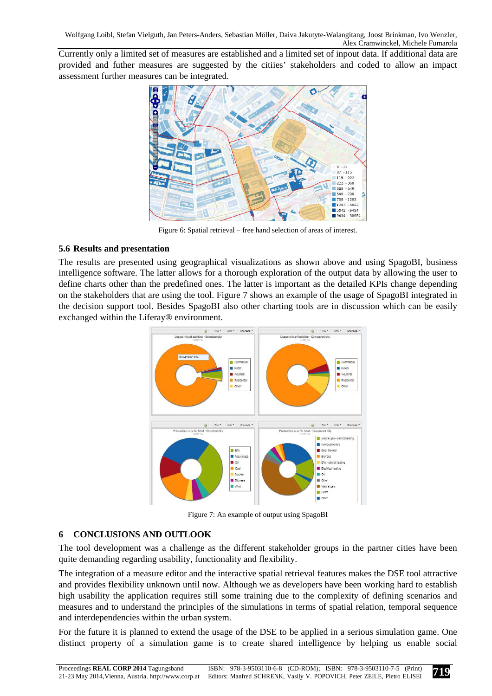Currently only a limited set of measures are established and a limited set of inpout data. If additional data are provided and futher measures are suggested by the citiies' stakeholders and coded to allow an impact assessment further measures can be integrated.



Figure 6: Spatial retrieval – free hand selection of areas of interest.

## **5.6 Results and presentation**

The results are presented using geographical visualizations as shown above and using SpagoBI, business intelligence software. The latter allows for a thorough exploration of the output data by allowing the user to define charts other than the predefined ones. The latter is important as the detailed KPIs change depending on the stakeholders that are using the tool. Figure 7 shows an example of the usage of SpagoBI integrated in the decision support tool. Besides SpagoBI also other charting tools are in discussion which can be easily exchanged within the Liferay® environment.



Figure 7: An example of output using SpagoBI

## **6 CONCLUSIONS AND OUTLOOK**

The tool development was a challenge as the different stakeholder groups in the partner cities have been quite demanding regarding usability, functionality and flexibility.

The integration of a measure editor and the interactive spatial retrieval features makes the DSE tool attractive and provides flexibility unknown until now. Although we as developers have been working hard to establish high usability the application requires still some training due to the complexity of defining scenarios and measures and to understand the principles of the simulations in terms of spatial relation, temporal sequence and interdependencies within the urban system.

For the future it is planned to extend the usage of the DSE to be applied in a serious simulation game. One distinct property of a simulation game is to create shared intelligence by helping us enable social